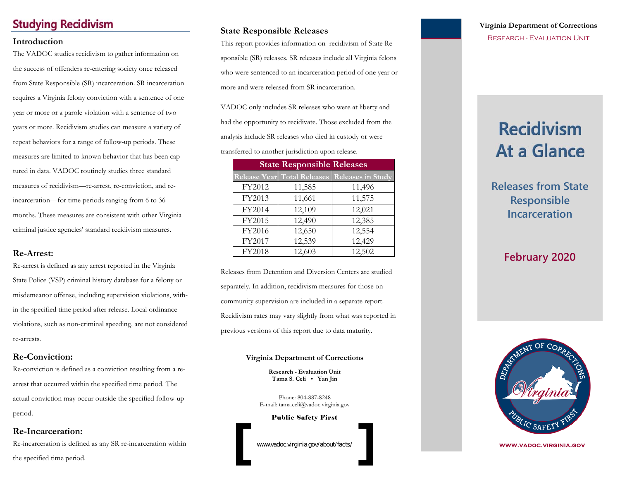### **Studying Recidivism**

The VADOC studies recidivism to gather information on the success of offenders re-entering society once released from State Responsible (SR) incarceration. SR incarceration requires a Virginia felony conviction with a sentence of one year or more or a parole violation with a sentence of two years or more. Recidivism studies can measure a variety of repeat behaviors for a range of follow-up periods. These measures are limited to known behavior that has been captured in data. VADOC routinely studies three standard measures of recidivism—re-arrest, re-conviction, and reincarceration—for time periods ranging from 6 to 36 months. These measures are consistent with other Virginia criminal justice agencies' standard recidivism measures.

### **Re-Arrest:**

Re-arrest is defined as any arrest reported in the Virginia State Police (VSP) criminal history database for a felony or misdemeanor offense, including supervision violations, within the specified time period after release. Local ordinance violations, such as non-criminal speeding, are not considered re-arrests.

### **Re-Conviction:**

Re-conviction is defined as a conviction resulting from a rearrest that occurred within the specified time period. The actual conviction may occur outside the specified follow-up period.

### **Re-Incarceration:**

Re-incarceration is defined as any SR re-incarceration within the specified time period.

### **State Responsible Releases**

**Introduction** RESEARCH - EVALUATION UNIT sponsible (SR) releases. SR releases include all Virginia felons who were sentenced to an incarceration period of one year or more and were released from SR incarceration.

> VADOC only includes SR releases who were at liberty and had the opportunity to recidivate. Those excluded from the analysis include SR releases who died in custody or were transferred to another jurisdiction upon release.

| <b>State Responsible Releases</b> |                             |                          |  |  |
|-----------------------------------|-----------------------------|--------------------------|--|--|
|                                   | Release Year Total Releases | <b>Releases in Study</b> |  |  |
| FY2012                            | 11,585                      | 11,496                   |  |  |
| FY2013                            | 11,661                      | 11,575                   |  |  |
| FY2014                            | 12,109                      | 12,021                   |  |  |
| FY2015                            | 12,490                      | 12,385                   |  |  |
| FY2016                            | 12,650                      | 12,554                   |  |  |
| FY2017                            | 12,539                      | 12,429                   |  |  |
| FY2018                            | 12,603                      | 12,502                   |  |  |

Releases from Detention and Diversion Centers are studied separately. In addition, recidivism measures for those on community supervision are included in a separate report. Recidivism rates may vary slightly from what was reported in previous versions of this report due to data maturity.

#### **Virginia Department of Corrections**

**Research - Evaluation Unit Tama S. Celi • Yan Jin** 

Phone: 804-887-8248 E-mail: tama.celi@vadoc.virginia.gov

Public Safety First

www.vadoc.virginia.gov/about/facts/

# **Virginia Department of Corrections**

# **Recidivism At a Glance**

**Releases from State Responsible Incarceration**

## **February 2020**



WWW.VADOC.VIRGINIA.GOV